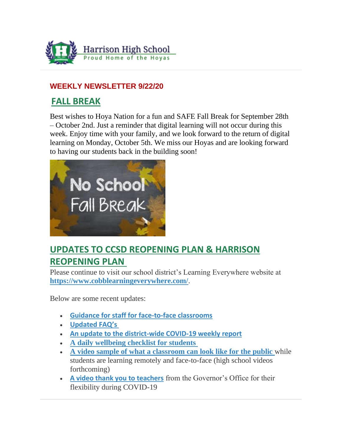

## **WEEKLY NEWSLETTER 9/22/20**

## **FALL BREAK**

Best wishes to Hoya Nation for a fun and SAFE Fall Break for September 28th – October 2nd. Just a reminder that digital learning will not occur during this week. Enjoy time with your family, and we look forward to the return of digital learning on Monday, October 5th. We miss our Hoyas and are looking forward to having our students back in the building soon!



# **UPDATES TO CCSD REOPENING PLAN & HARRISON REOPENING PLAN**

Please continue to visit our school district's Learning Everywhere website at **<https://www.cobblearningeverywhere.com/>**.

Below are some recent updates:

- **[Guidance for staff for face-to-face classrooms](https://www.cobblearningeverywhere.com/wp-content/uploads/2020/09/Face-to-Face-Guidance-for-Staff.pdf)**
- **[Updated FAQ's](https://www.cobblearningeverywhere.com/faqs/)**
- **[An update to the district-wide COVID-19 weekly report](https://www.cobblearningeverywhere.com/cases/)**
- **[A daily wellbeing checklist for students](https://www.cobblearningeverywhere.com/wp-content/uploads/2020/09/Face-to-face-and-Remote-Reopening-Plan-With-Links.pdf)**
- **[A video sample of what a classroom can look like for the public](https://www.youtube.com/watch?v=_lo3x_soBAY&feature=youtu.be)** while students are learning remotely and face-to-face (high school videos forthcoming)
- **[A video thank you to teachers](https://www.youtube.com/watch?reload=9&v=z0cX6v1zo4E&feature=youtu.be)** from the Governor's Office for their flexibility during COVID-19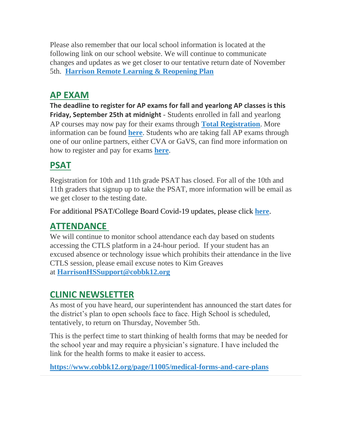Please also remember that our local school information is located at the following link on our school website. We will continue to communicate changes and updates as we get closer to our tentative return date of November 5th. **[Harrison Remote Learning & Reopening Plan](http://www.harrisonhigh.org/Remote-Learning-Information)**

## **AP EXAM**

**The deadline to register for AP exams for fall and yearlong AP classes is this Friday, September 25th at midnight** - Students enrolled in fall and yearlong AP courses may now pay for their exams through **[Total Registration](https://user.totalregistration.net/AP/111734)**. More information can be found **[here](https://cobbk12org-my.sharepoint.com/:b:/g/personal/lucia_poole_cobbk12_org/EcBCnM0idWpEvLnLEG6H0fYBvWSJ1G1FeCi62Q1r9dj0qA?e=mnOzcN)**. Students who are taking fall AP exams through one of our online partners, either CVA or GaVS, can find more information on how to register and pay for exams **[here](https://cobbk12org-my.sharepoint.com/:b:/g/personal/lucia_poole_cobbk12_org/ERocmsi22YBEgWMQVxm35UwBIlpEVyWiQX8kjfupGWgYXQ?e=QApaPd)**.

# **PSAT**

Registration for 10th and 11th grade PSAT has closed. For all of the 10th and 11th graders that signup up to take the PSAT, more information will be email as we get closer to the testing date.

For additional PSAT/College Board Covid-19 updates, please click **[here](https://pages.collegeboard.org/sat-covid-19-updates)**.

## **ATTENDANCE**

We will continue to monitor school attendance each day based on students accessing the CTLS platform in a 24-hour period. If your student has an excused absence or technology issue which prohibits their attendance in the live CTLS session, please email excuse notes to Kim Greaves at **[HarrisonHSSupport@cobbk12.org](mailto:HarrisonHSSupport@cobbk12.org)**

## **CLINIC NEWSLETTER**

As most of you have heard, our superintendent has announced the start dates for the district's plan to open schools face to face. High School is scheduled, tentatively, to return on Thursday, November 5th.

This is the perfect time to start thinking of health forms that may be needed for the school year and may require a physician's signature. I have included the link for the health forms to make it easier to access.

**<https://www.cobbk12.org/page/11005/medical-forms-and-care-plans>**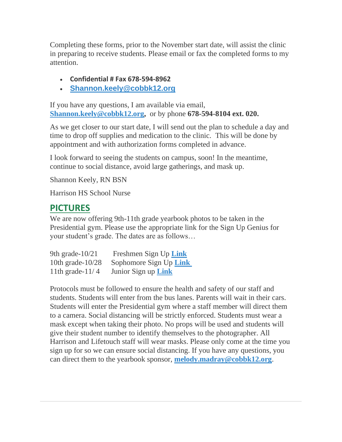Completing these forms, prior to the November start date, will assist the clinic in preparing to receive students. Please email or fax the completed forms to my attention.

- **Confidential # Fax 678-594-8962**
- **[Shannon.keely@cobbk12.org](mailto:Shannon.Keely@cobbk12.org)**

If you have any questions, I am available via email, **[Shannon.keely@cobbk12.org,](mailto:Shannon.Keely@cobbk12.org)** or by phone **678-594-8104 ext. 020.**

As we get closer to our start date, I will send out the plan to schedule a day and time to drop off supplies and medication to the clinic. This will be done by appointment and with authorization forms completed in advance.

I look forward to seeing the students on campus, soon! In the meantime, continue to social distance, avoid large gatherings, and mask up.

Shannon Keely, RN BSN

Harrison HS School Nurse

## **PICTURES**

We are now offering 9th-11th grade yearbook photos to be taken in the Presidential gym. Please use the appropriate link for the Sign Up Genius for your student's grade. The dates are as follows…

| 9th grade- $10/21$  | Freshmen Sign Up Link      |
|---------------------|----------------------------|
| 10th grade- $10/28$ | Sophomore Sign Up Link     |
| 11th grade- $11/4$  | Junior Sign up <b>Link</b> |

Protocols must be followed to ensure the health and safety of our staff and students. Students will enter from the bus lanes. Parents will wait in their cars. Students will enter the Presidential gym where a staff member will direct them to a camera. Social distancing will be strictly enforced. Students must wear a mask except when taking their photo. No props will be used and students will give their student number to identify themselves to the photographer. All Harrison and Lifetouch staff will wear masks. Please only come at the time you sign up for so we can ensure social distancing. If you have any questions, you can direct them to the yearbook sponsor, **[melody.madray@cobbk12.org](mailto:melody.madray@cobbk12.org)**.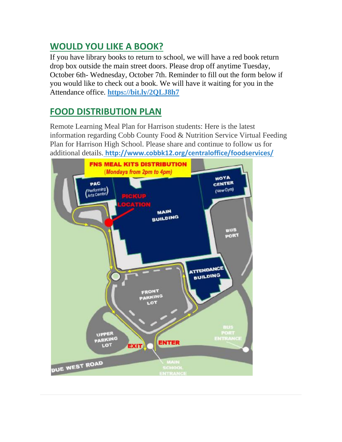## **WOULD YOU LIKE A BOOK?**

If you have library books to return to school, we will have a red book return drop box outside the main street doors. Please drop off anytime Tuesday, October 6th- Wednesday, October 7th. Reminder to fill out the form below if you would like to check out a book. We will have it waiting for you in the Attendance office. **<https://bit.ly/2QLJ8h7>**

## **FOOD DISTRIBUTION PLAN**

Remote Learning Meal Plan for Harrison students: Here is the latest information regarding Cobb County Food & Nutrition Service Virtual Feeding Plan for Harrison High School. Please share and continue to follow us for additional details. **[http://www.cobbk12.org/centraloffice/foodservices/](http://info.cobbk12.org/centraloffice/foodservices/)**

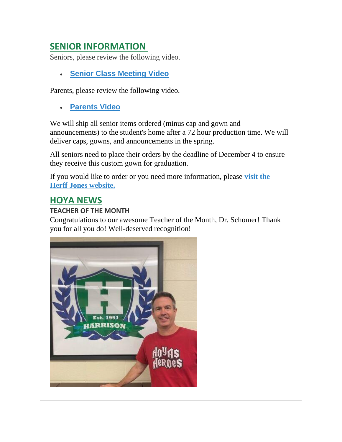## **SENIOR INFORMATION**

Seniors, please review the following video.

• **[Senior Class Meeting Video](https://vimeo.com/452270720/a229e01e97)**

Parents, please review the following video.

• **[Parents Video](https://youtu.be/Y6hxOOJn-YY)**

We will ship all senior items ordered (minus cap and gown and announcements) to the student's home after a 72 hour production time. We will deliver caps, gowns, and announcements in the spring.

All seniors need to place their orders by the deadline of December 4 to ensure they receive this custom gown for graduation.

If you would like to order or you need more information, pleas[e](https://www.herffatlanta.com/) **[visit the](https://www.herffatlanta.com/)  [Herff Jones website.](https://www.herffatlanta.com/)**

## **HOYA NEWS**

#### **TEACHER OF THE MONTH**

Congratulations to our awesome Teacher of the Month, Dr. Schomer! Thank you for all you do! Well-deserved recognition!

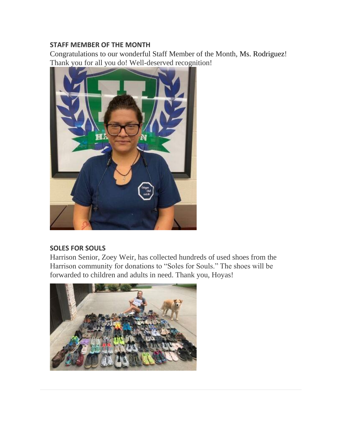#### **STAFF MEMBER OF THE MONTH**

Congratulations to our wonderful Staff Member of the Month, Ms. Rodriguez! Thank you for all you do! Well-deserved recognition!



#### **SOLES FOR SOULS**

Harrison Senior, Zoey Weir, has collected hundreds of used shoes from the Harrison community for donations to "Soles for Souls." The shoes will be forwarded to children and adults in need. Thank you, Hoyas!

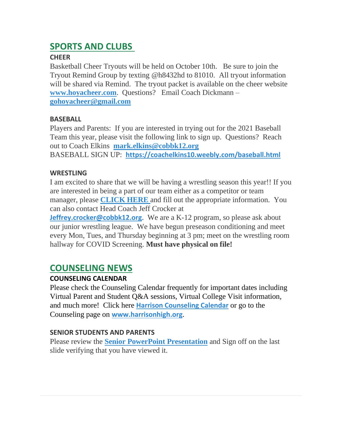## **SPORTS AND CLUBS**

### **CHEER**

Basketball Cheer Tryouts will be held on October 10th. Be sure to join the Tryout Remind Group by texting @h8432hd to 81010. All tryout information will be shared via Remind. The tryout packet is available on the cheer website **[www.hoyacheer.com](http://www.hoyacheer.com/)**. Questions? Email Coach Dickmann – **[gohoyacheer@gmail.com](mailto:gohoyacheer@gmail.com)**

### **BASEBALL**

Players and Parents: If you are interested in trying out for the 2021 Baseball Team this year, please visit the following link to sign up. Questions? Reach out to Coach Elkins **[mark.elkins@cobbk12.org](mailto:mark.elkins@cobbk12.org)**

BASEBALL SIGN UP: **<https://coachelkins10.weebly.com/baseball.html>**

### **WRESTLING**

I am excited to share that we will be having a wrestling season this year!! If you are interested in being a part of our team either as a competitor or team manager, please **[CLICK HERE](https://forms.gle/LAkbS4Nikxyg5T6Z9)** and fill out the appropriate information. You can also contact Head Coach Jeff Crocker at

**[Jeffrey.crocker@cobbk12.org](mailto:Jeffrey.Crocker@cobbk12.org).** We are a K-12 program, so please ask about our junior wrestling league. We have begun preseason conditioning and meet every Mon, Tues, and Thursday beginning at 3 pm; meet on the wrestling room hallway for COVID Screening. **Must have physical on file!**

## **COUNSELING NEWS**

## **COUNSELING CALENDAR**

Please check the Counseling Calendar frequently for important dates including Virtual Parent and Student Q&A sessions, Virtual College Visit information, and much more! Click here **[Harrison Counseling Calendar](https://calendar.google.com/calendar/embed?src=tasr4q5spailsj1itftjdtn6mk%40group.calendar.google.com&ctz=America%2FNew_York)** or go to the Counseling page on **[www.harrisonhigh.org](http://www.harrisonhigh.org/)**.

## **SENIOR STUDENTS AND PARENTS**

Please review the **[Senior PowerPoint Presentation](https://docs.google.com/presentation/d/e/2PACX-1vSmq272lb0wOG2S3YnWHp2etJVzf8Knhj_K-_Xasw_V4Hxa3tQ1sl5D5fQM7X1TvQ/pub?start=true&loop=false&delayms=60000)** and Sign off on the last slide verifying that you have viewed it.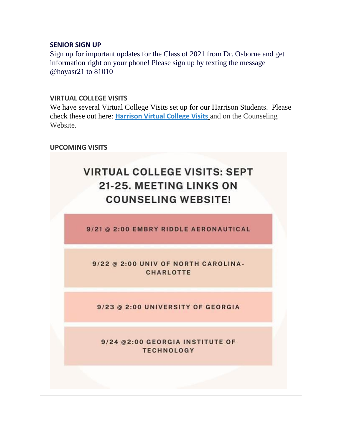#### **SENIOR SIGN UP**

Sign up for important updates for the Class of 2021 from Dr. Osborne and get information right on your phone! Please sign up by texting the message @hoyasr21 to 81010

#### **VIRTUAL COLLEGE VISITS**

We have several Virtual College Visits set up for our Harrison Students. Please check these out here: **[Harrison Virtual College Visits](https://cobbk12org-my.sharepoint.com/:x:/g/personal/leanna_kor_cobbk12_org/EWP6BGgLdCBOvhv5RDRuCVwBqHA2jXXmnAUqr7hXgxEU7w?rtime=t-E10MJN2Eg)** and on the Counseling Website.

#### **UPCOMING VISITS**

# **VIRTUAL COLLEGE VISITS: SEPT** 21-25. MEETING LINKS ON **COUNSELING WEBSITE!**

9/21 @ 2:00 EMBRY RIDDLE AERONAUTICAL

9/22 @ 2:00 UNIV OF NORTH CAROLINA-**CHARLOTTE** 

9/23 @ 2:00 UNIVERSITY OF GEORGIA

9/24 @2:00 GEORGIA INSTITUTE OF **TECHNOLOGY**